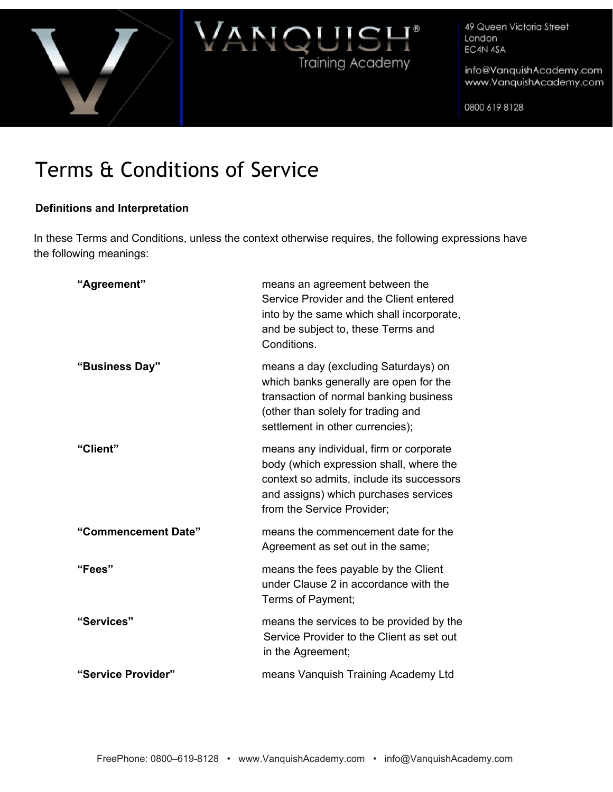



info@VanquishAcademy.com www.VanquishAcademy.com

0800 619 8128

# Terms & Conditions of Service

# **Definitions and Interpretation**

In these Terms and Conditions, unless the context otherwise requires, the following expressions have the following meanings:

| "Agreement"         | means an agreement between the<br>Service Provider and the Client entered<br>into by the same which shall incorporate,<br>and be subject to, these Terms and<br>Conditions.                            |
|---------------------|--------------------------------------------------------------------------------------------------------------------------------------------------------------------------------------------------------|
| "Business Day"      | means a day (excluding Saturdays) on<br>which banks generally are open for the<br>transaction of normal banking business<br>(other than solely for trading and<br>settlement in other currencies);     |
| "Client"            | means any individual, firm or corporate<br>body (which expression shall, where the<br>context so admits, include its successors<br>and assigns) which purchases services<br>from the Service Provider; |
| "Commencement Date" | means the commencement date for the<br>Agreement as set out in the same;                                                                                                                               |
| "Fees"              | means the fees payable by the Client<br>under Clause 2 in accordance with the<br>Terms of Payment;                                                                                                     |
| "Services"          | means the services to be provided by the<br>Service Provider to the Client as set out<br>in the Agreement;                                                                                             |
| "Service Provider"  | means Vanquish Training Academy Ltd                                                                                                                                                                    |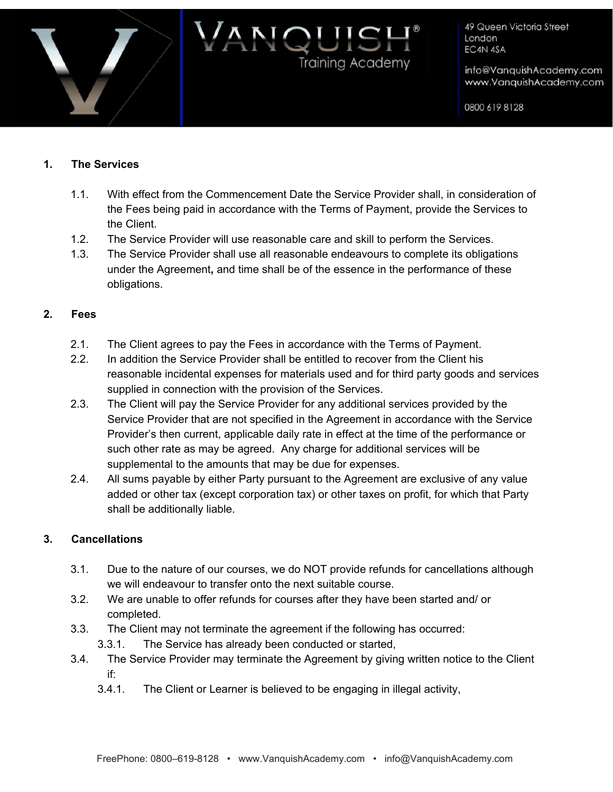

info@VanquishAcademy.com www.VanquishAcademy.com

0800 619 8128

### **1. The Services**

1.1. With effect from the Commencement Date the Service Provider shall, in consideration of the Fees being paid in accordance with the Terms of Payment, provide the Services to the Client.

IQUIS

**Training Academy** 

- 1.2. The Service Provider will use reasonable care and skill to perform the Services.
- 1.3. The Service Provider shall use all reasonable endeavours to complete its obligations under the Agreement**,** and time shall be of the essence in the performance of these obligations.

### **2. Fees**

- 2.1. The Client agrees to pay the Fees in accordance with the Terms of Payment.
- 2.2. In addition the Service Provider shall be entitled to recover from the Client his reasonable incidental expenses for materials used and for third party goods and services supplied in connection with the provision of the Services.
- 2.3. The Client will pay the Service Provider for any additional services provided by the Service Provider that are not specified in the Agreement in accordance with the Service Provider's then current, applicable daily rate in effect at the time of the performance or such other rate as may be agreed. Any charge for additional services will be supplemental to the amounts that may be due for expenses.
- 2.4. All sums payable by either Party pursuant to the Agreement are exclusive of any value added or other tax (except corporation tax) or other taxes on profit, for which that Party shall be additionally liable.

#### **3. Cancellations**

- 3.1. Due to the nature of our courses, we do NOT provide refunds for cancellations although we will endeavour to transfer onto the next suitable course.
- 3.2. We are unable to offer refunds for courses after they have been started and/ or completed.
- 3.3. The Client may not terminate the agreement if the following has occurred:
	- 3.3.1. The Service has already been conducted or started,
- 3.4. The Service Provider may terminate the Agreement by giving written notice to the Client if:
	- 3.4.1. The Client or Learner is believed to be engaging in illegal activity,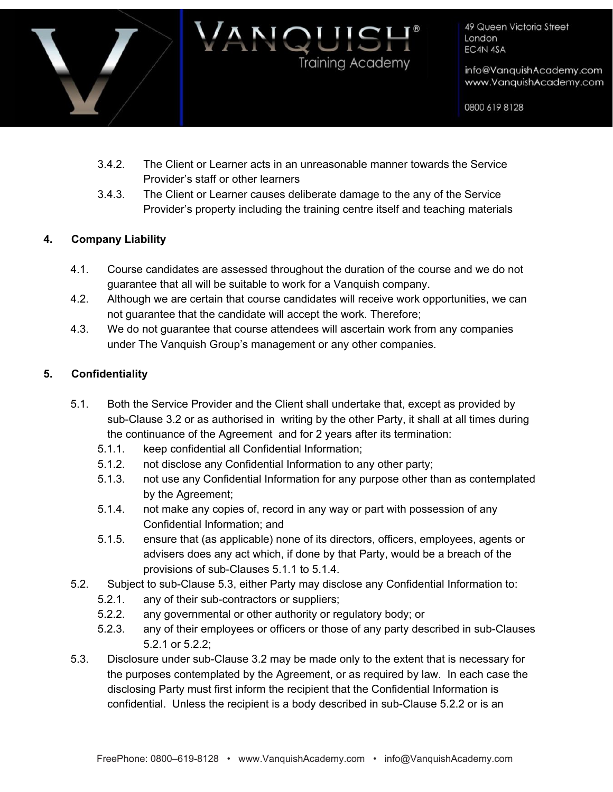

info@VanquishAcademy.com www.VanquishAcademy.com

0800 619 8128

3.4.2. The Client or Learner acts in an unreasonable manner towards the Service Provider's staff or other learners

NQUIS

**Training Academy** 

3.4.3. The Client or Learner causes deliberate damage to the any of the Service Provider's property including the training centre itself and teaching materials

# **4. Company Liability**

- 4.1. Course candidates are assessed throughout the duration of the course and we do not guarantee that all will be suitable to work for a Vanquish company.
- 4.2. Although we are certain that course candidates will receive work opportunities, we can not guarantee that the candidate will accept the work. Therefore;
- 4.3. We do not guarantee that course attendees will ascertain work from any companies under The Vanquish Group's management or any other companies.

# **5. Confidentiality**

- 5.1. Both the Service Provider and the Client shall undertake that, except as provided by sub-Clause 3.2 or as authorised in writing by the other Party, it shall at all times during the continuance of the Agreement and for 2 years after its termination:
	- 5.1.1. keep confidential all Confidential Information;
	- 5.1.2. not disclose any Confidential Information to any other party;
	- 5.1.3. not use any Confidential Information for any purpose other than as contemplated by the Agreement;
	- 5.1.4. not make any copies of, record in any way or part with possession of any Confidential Information; and
	- 5.1.5. ensure that (as applicable) none of its directors, officers, employees, agents or advisers does any act which, if done by that Party, would be a breach of the provisions of sub-Clauses 5.1.1 to 5.1.4.
- 5.2. Subject to sub-Clause 5.3, either Party may disclose any Confidential Information to:
	- 5.2.1. any of their sub-contractors or suppliers;
	- 5.2.2. any governmental or other authority or regulatory body; or
	- 5.2.3. any of their employees or officers or those of any party described in sub-Clauses 5.2.1 or 5.2.2;
- 5.3. Disclosure under sub-Clause 3.2 may be made only to the extent that is necessary for the purposes contemplated by the Agreement, or as required by law. In each case the disclosing Party must first inform the recipient that the Confidential Information is confidential. Unless the recipient is a body described in sub-Clause 5.2.2 or is an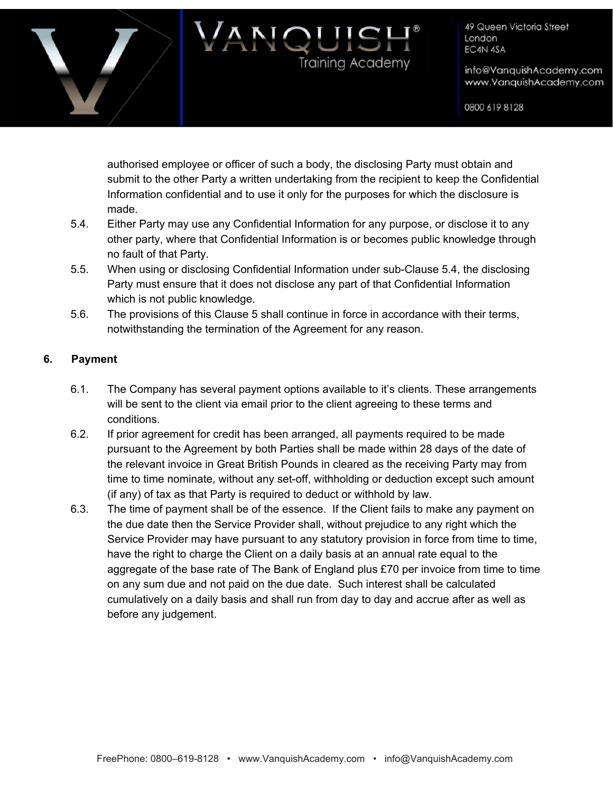

info@VanquishAcademy.com www.VanquishAcademy.com

0800 619 8128

authorised employee or officer of such a body, the disclosing Party must obtain and submit to the other Party a written undertaking from the recipient to keep the Confidential Information confidential and to use it only for the purposes for which the disclosure is made.

NQUIS

**Training Academy** 

- 5.4. Either Party may use any Confidential Information for any purpose, or disclose it to any other party, where that Confidential Information is or becomes public knowledge through no fault of that Party.
- 5.5. When using or disclosing Confidential Information under sub-Clause 5.4, the disclosing Party must ensure that it does not disclose any part of that Confidential Information which is not public knowledge.
- 5.6. The provisions of this Clause 5 shall continue in force in accordance with their terms, notwithstanding the termination of the Agreement for any reason.

# **6. Payment**

- 6.1. The Company has several payment options available to it's clients. These arrangements will be sent to the client via email prior to the client agreeing to these terms and conditions.
- 6.2. If prior agreement for credit has been arranged, all payments required to be made pursuant to the Agreement by both Parties shall be made within 28 days of the date of the relevant invoice in Great British Pounds in cleared as the receiving Party may from time to time nominate, without any set-off, withholding or deduction except such amount (if any) of tax as that Party is required to deduct or withhold by law.
- 6.3. The time of payment shall be of the essence. If the Client fails to make any payment on the due date then the Service Provider shall, without prejudice to any right which the Service Provider may have pursuant to any statutory provision in force from time to time, have the right to charge the Client on a daily basis at an annual rate equal to the aggregate of the base rate of The Bank of England plus £70 per invoice from time to time on any sum due and not paid on the due date. Such interest shall be calculated cumulatively on a daily basis and shall run from day to day and accrue after as well as before any judgement.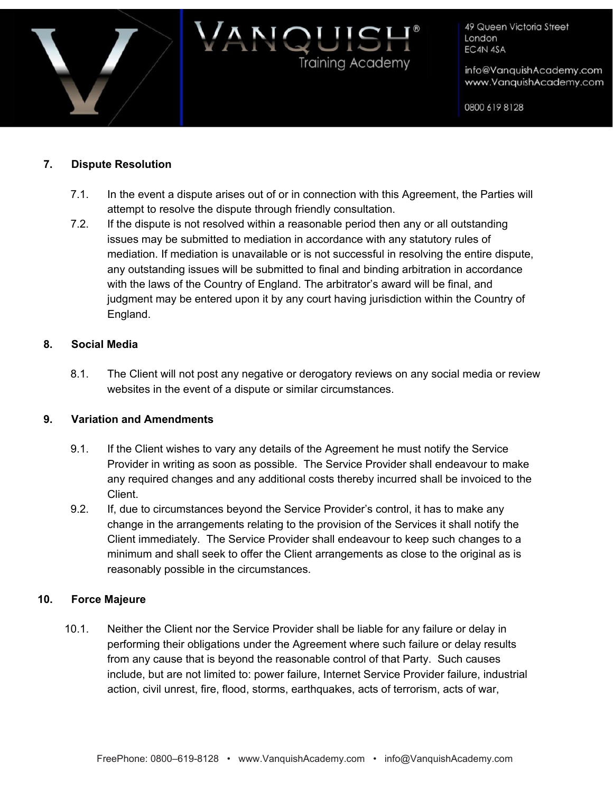

info@VanquishAcademy.com www.VanquishAcademy.com

0800 619 8128

## **7. Dispute Resolution**

7.1. In the event a dispute arises out of or in connection with this Agreement, the Parties will attempt to resolve the dispute through friendly consultation.

JOUIS

Training Academy

7.2. If the dispute is not resolved within a reasonable period then any or all outstanding issues may be submitted to mediation in accordance with any statutory rules of mediation. If mediation is unavailable or is not successful in resolving the entire dispute, any outstanding issues will be submitted to final and binding arbitration in accordance with the laws of the Country of England. The arbitrator's award will be final, and judgment may be entered upon it by any court having jurisdiction within the Country of England.

#### **8. Social Media**

8.1. The Client will not post any negative or derogatory reviews on any social media or review websites in the event of a dispute or similar circumstances.

#### **9. Variation and Amendments**

- 9.1. If the Client wishes to vary any details of the Agreement he must notify the Service Provider in writing as soon as possible. The Service Provider shall endeavour to make any required changes and any additional costs thereby incurred shall be invoiced to the Client.
- 9.2. If, due to circumstances beyond the Service Provider's control, it has to make any change in the arrangements relating to the provision of the Services it shall notify the Client immediately. The Service Provider shall endeavour to keep such changes to a minimum and shall seek to offer the Client arrangements as close to the original as is reasonably possible in the circumstances.

### **10. Force Majeure**

10.1. Neither the Client nor the Service Provider shall be liable for any failure or delay in performing their obligations under the Agreement where such failure or delay results from any cause that is beyond the reasonable control of that Party. Such causes include, but are not limited to: power failure, Internet Service Provider failure, industrial action, civil unrest, fire, flood, storms, earthquakes, acts of terrorism, acts of war,